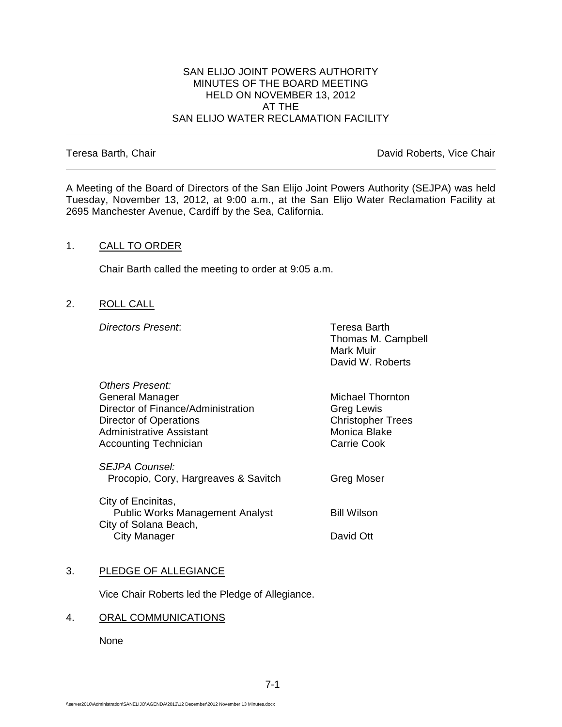#### SAN ELIJO JOINT POWERS AUTHORITY MINUTES OF THE BOARD MEETING HELD ON NOVEMBER 13, 2012 AT THE SAN ELIJO WATER RECLAMATION FACILITY

Teresa Barth, Chair **David Roberts, Vice Chair David Roberts, Vice Chair** 

A Meeting of the Board of Directors of the San Elijo Joint Powers Authority (SEJPA) was held Tuesday, November 13, 2012, at 9:00 a.m., at the San Elijo Water Reclamation Facility at 2695 Manchester Avenue, Cardiff by the Sea, California.

### 1. CALL TO ORDER

Chair Barth called the meeting to order at 9:05 a.m.

2. ROLL CALL

**Directors Present:** Teresa Barth

Thomas M. Campbell Mark Muir David W. Roberts

| Others Present:                        |                          |
|----------------------------------------|--------------------------|
| <b>General Manager</b>                 | <b>Michael Thornton</b>  |
| Director of Finance/Administration     | Greg Lewis               |
| <b>Director of Operations</b>          | <b>Christopher Trees</b> |
| <b>Administrative Assistant</b>        | Monica Blake             |
| <b>Accounting Technician</b>           | Carrie Cook              |
| SEJPA Counsel:                         |                          |
| Procopio, Cory, Hargreaves & Savitch   | Greg Moser               |
| City of Encinitas,                     |                          |
| <b>Public Works Management Analyst</b> | <b>Bill Wilson</b>       |
| City of Solana Beach,<br>City Manager  | David Ott                |
|                                        |                          |

#### 3. PLEDGE OF ALLEGIANCE

Vice Chair Roberts led the Pledge of Allegiance.

# 4. ORAL COMMUNICATIONS

None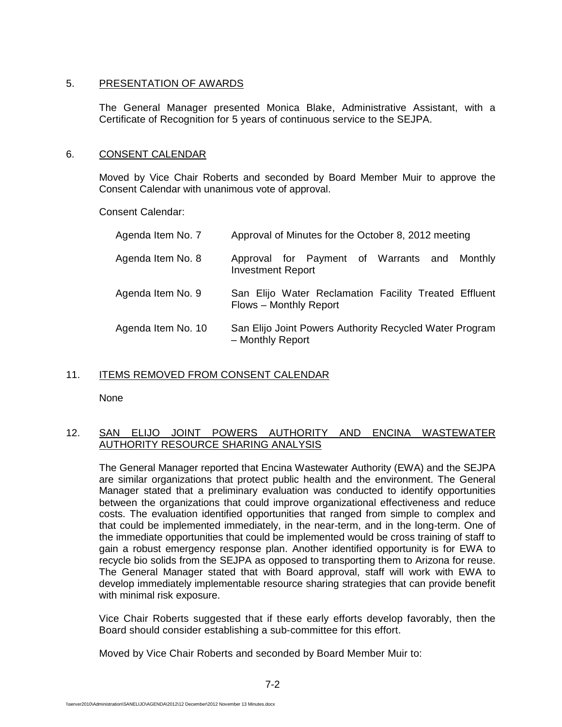## 5. PRESENTATION OF AWARDS

The General Manager presented Monica Blake, Administrative Assistant, with a Certificate of Recognition for 5 years of continuous service to the SEJPA.

### 6. CONSENT CALENDAR

Moved by Vice Chair Roberts and seconded by Board Member Muir to approve the Consent Calendar with unanimous vote of approval.

Consent Calendar:

| Agenda Item No. 7  | Approval of Minutes for the October 8, 2012 meeting                             |
|--------------------|---------------------------------------------------------------------------------|
| Agenda Item No. 8  | Approval for Payment of Warrants and Monthly<br><b>Investment Report</b>        |
| Agenda Item No. 9  | San Elijo Water Reclamation Facility Treated Effluent<br>Flows - Monthly Report |
| Agenda Item No. 10 | San Elijo Joint Powers Authority Recycled Water Program<br>- Monthly Report     |

## 11. ITEMS REMOVED FROM CONSENT CALENDAR

None

## 12. SAN ELIJO JOINT POWERS AUTHORITY AND ENCINA WASTEWATER AUTHORITY RESOURCE SHARING ANALYSIS

The General Manager reported that Encina Wastewater Authority (EWA) and the SEJPA are similar organizations that protect public health and the environment. The General Manager stated that a preliminary evaluation was conducted to identify opportunities between the organizations that could improve organizational effectiveness and reduce costs. The evaluation identified opportunities that ranged from simple to complex and that could be implemented immediately, in the near-term, and in the long-term. One of the immediate opportunities that could be implemented would be cross training of staff to gain a robust emergency response plan. Another identified opportunity is for EWA to recycle bio solids from the SEJPA as opposed to transporting them to Arizona for reuse. The General Manager stated that with Board approval, staff will work with EWA to develop immediately implementable resource sharing strategies that can provide benefit with minimal risk exposure.

Vice Chair Roberts suggested that if these early efforts develop favorably, then the Board should consider establishing a sub-committee for this effort.

Moved by Vice Chair Roberts and seconded by Board Member Muir to: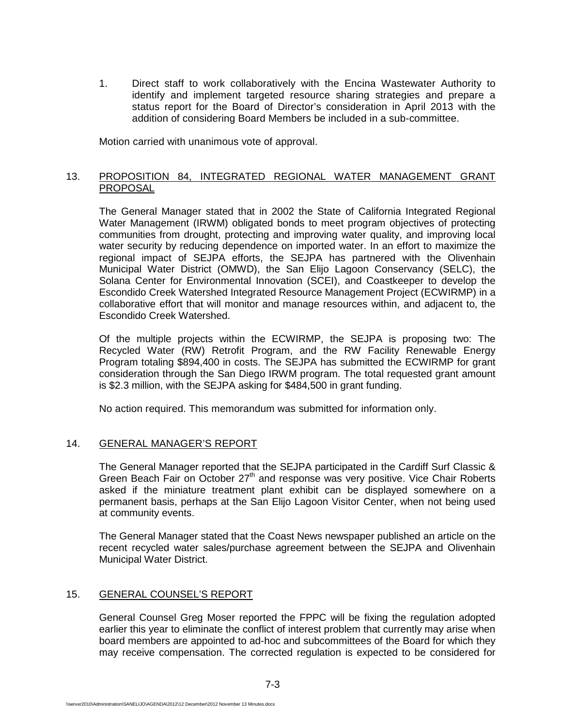1. Direct staff to work collaboratively with the Encina Wastewater Authority to identify and implement targeted resource sharing strategies and prepare a status report for the Board of Director's consideration in April 2013 with the addition of considering Board Members be included in a sub-committee.

Motion carried with unanimous vote of approval.

## 13. PROPOSITION 84, INTEGRATED REGIONAL WATER MANAGEMENT GRANT **PROPOSAL**

The General Manager stated that in 2002 the State of California Integrated Regional Water Management (IRWM) obligated bonds to meet program objectives of protecting communities from drought, protecting and improving water quality, and improving local water security by reducing dependence on imported water. In an effort to maximize the regional impact of SEJPA efforts, the SEJPA has partnered with the Olivenhain Municipal Water District (OMWD), the San Elijo Lagoon Conservancy (SELC), the Solana Center for Environmental Innovation (SCEI), and Coastkeeper to develop the Escondido Creek Watershed Integrated Resource Management Project (ECWIRMP) in a collaborative effort that will monitor and manage resources within, and adjacent to, the Escondido Creek Watershed.

Of the multiple projects within the ECWIRMP, the SEJPA is proposing two: The Recycled Water (RW) Retrofit Program, and the RW Facility Renewable Energy Program totaling \$894,400 in costs. The SEJPA has submitted the ECWIRMP for grant consideration through the San Diego IRWM program. The total requested grant amount is \$2.3 million, with the SEJPA asking for \$484,500 in grant funding.

No action required. This memorandum was submitted for information only.

## 14. GENERAL MANAGER'S REPORT

The General Manager reported that the SEJPA participated in the Cardiff Surf Classic & Green Beach Fair on October  $27<sup>th</sup>$  and response was very positive. Vice Chair Roberts asked if the miniature treatment plant exhibit can be displayed somewhere on a permanent basis, perhaps at the San Elijo Lagoon Visitor Center, when not being used at community events.

The General Manager stated that the Coast News newspaper published an article on the recent recycled water sales/purchase agreement between the SEJPA and Olivenhain Municipal Water District.

## 15. GENERAL COUNSEL'S REPORT

General Counsel Greg Moser reported the FPPC will be fixing the regulation adopted earlier this year to eliminate the conflict of interest problem that currently may arise when board members are appointed to ad-hoc and subcommittees of the Board for which they may receive compensation. The corrected regulation is expected to be considered for